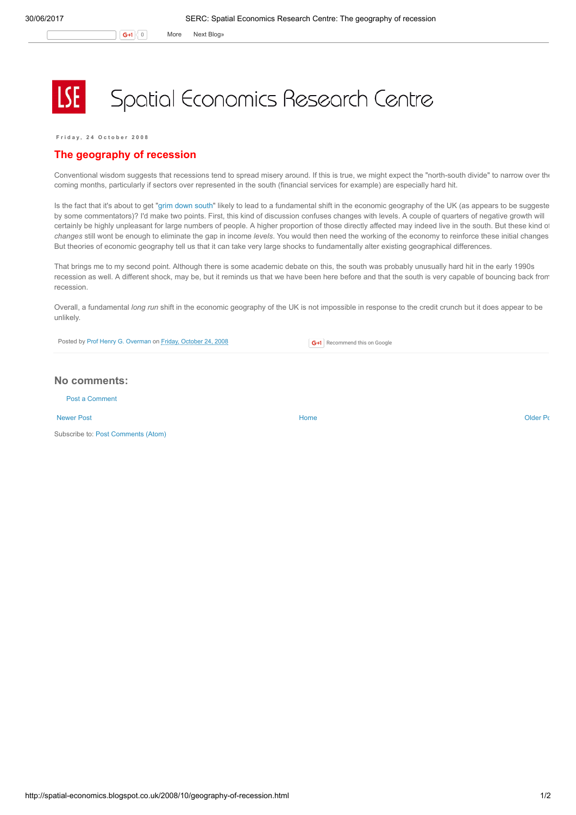G+1 0 More Next [Blog»](https://www.blogger.com/next-blog?navBar=true&blogID=974562301377041914)

## Spatial Economics Research Centre

Friday, 24 October 2008

## The geography of recession

Conventional wisdom suggests that recessions tend to spread misery around. If this is true, we might expect the "north-south divide" to narrow over the coming months, particularly if sectors over represented in the south (financial services for example) are especially hard hit.

Is the fact that it's about to get "grim down [south](http://www.guardian.co.uk/business/2008/oct/19/creditcrunch-marketturmoil-recession-london)" likely to lead to a fundamental shift in the economic geography of the UK (as appears to be suggeste by some commentators)? I'd make two points. First, this kind of discussion confuses changes with levels. A couple of quarters of negative growth will certainly be highly unpleasant for large numbers of people. A higher proportion of those directly affected may indeed live in the south. But these kind of changes still wont be enough to eliminate the gap in income levels. You would then need the working of the economy to reinforce these initial changes But theories of economic geography tell us that it can take very large shocks to fundamentally alter existing geographical differences.

That brings me to my second point. Although there is some academic debate on this, the south was probably unusually hard hit in the early 1990s recession as well. A different shock, may be, but it reminds us that we have been here before and that the south is very capable of bouncing back from recession.

Overall, a fundamental long run shift in the economic geography of the UK is not impossible in response to the credit crunch but it does appear to be unlikely.

Posted by Prof Henry G. [Overman](https://www.blogger.com/profile/15203876610491317062) on Friday, [October](http://spatial-economics.blogspot.co.uk/2008/10/geography-of-recession.html) 24, 2008

**G+1** Recommend this on Google

## No comments:

Post a [Comment](https://www.blogger.com/comment.g?blogID=974562301377041914&postID=8115348924231460753)

[Newer](http://spatial-economics.blogspot.co.uk/2008/11/greener-homes.html) Post **New Account Contract Account Contract Account Contract Account Contract Account Contract [Older](http://spatial-economics.blogspot.co.uk/2008/10/paul-krugman-nobel-laureate.html) Post** 

Subscribe to: Post [Comments](http://spatial-economics.blogspot.com/feeds/8115348924231460753/comments/default) (Atom)